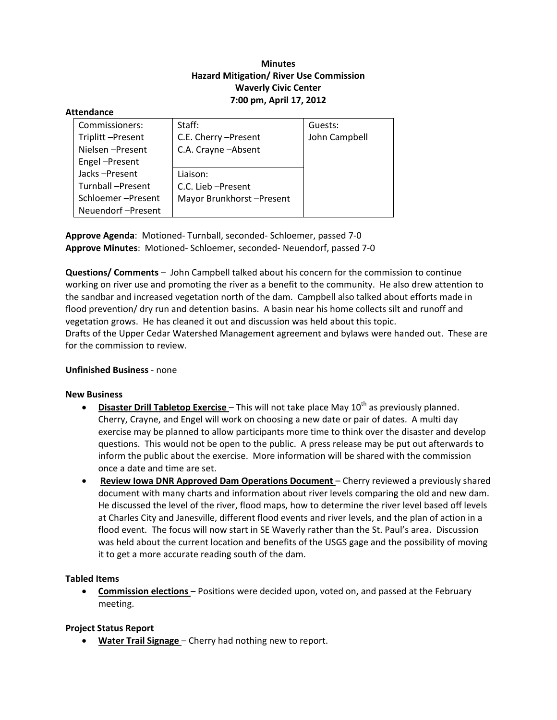# **Minutes Hazard Mitigation/ River Use Commission Waverly Civic Center 7:00 pm, April 17, 2012**

#### **Attendance**

| Commissioners:    | Staff:                   | Guests:       |
|-------------------|--------------------------|---------------|
| Triplitt-Present  | C.E. Cherry - Present    | John Campbell |
| Nielsen-Present   | C.A. Crayne - Absent     |               |
| Engel-Present     |                          |               |
| Jacks-Present     | Liaison:                 |               |
| Turnball-Present  | C.C. Lieb - Present      |               |
| Schloemer-Present | Mayor Brunkhorst-Present |               |
| Neuendorf-Present |                          |               |

**Approve Agenda**: Motioned‐ Turnball, seconded‐ Schloemer, passed 7‐0 **Approve Minutes**: Motioned‐ Schloemer, seconded‐ Neuendorf, passed 7‐0

**Questions/ Comments** – John Campbell talked about his concern for the commission to continue working on river use and promoting the river as a benefit to the community. He also drew attention to the sandbar and increased vegetation north of the dam. Campbell also talked about efforts made in flood prevention/ dry run and detention basins. A basin near his home collects silt and runoff and vegetation grows. He has cleaned it out and discussion was held about this topic.

Drafts of the Upper Cedar Watershed Management agreement and bylaws were handed out. These are for the commission to review.

#### **Unfinished Business** ‐ none

#### **New Business**

- **Disaster Drill Tabletop Exercise** This will not take place May 10<sup>th</sup> as previously planned. Cherry, Crayne, and Engel will work on choosing a new date or pair of dates. A multi day exercise may be planned to allow participants more time to think over the disaster and develop questions. This would not be open to the public. A press release may be put out afterwards to inform the public about the exercise. More information will be shared with the commission once a date and time are set.
- **Review Iowa DNR Approved Dam Operations Document** Cherry reviewed a previously shared document with many charts and information about river levels comparing the old and new dam. He discussed the level of the river, flood maps, how to determine the river level based off levels at Charles City and Janesville, different flood events and river levels, and the plan of action in a flood event. The focus will now start in SE Waverly rather than the St. Paul's area. Discussion was held about the current location and benefits of the USGS gage and the possibility of moving it to get a more accurate reading south of the dam.

#### **Tabled Items**

 **Commission elections** – Positions were decided upon, voted on, and passed at the February meeting.

#### **Project Status Report**

**Water Trail Signage** – Cherry had nothing new to report.